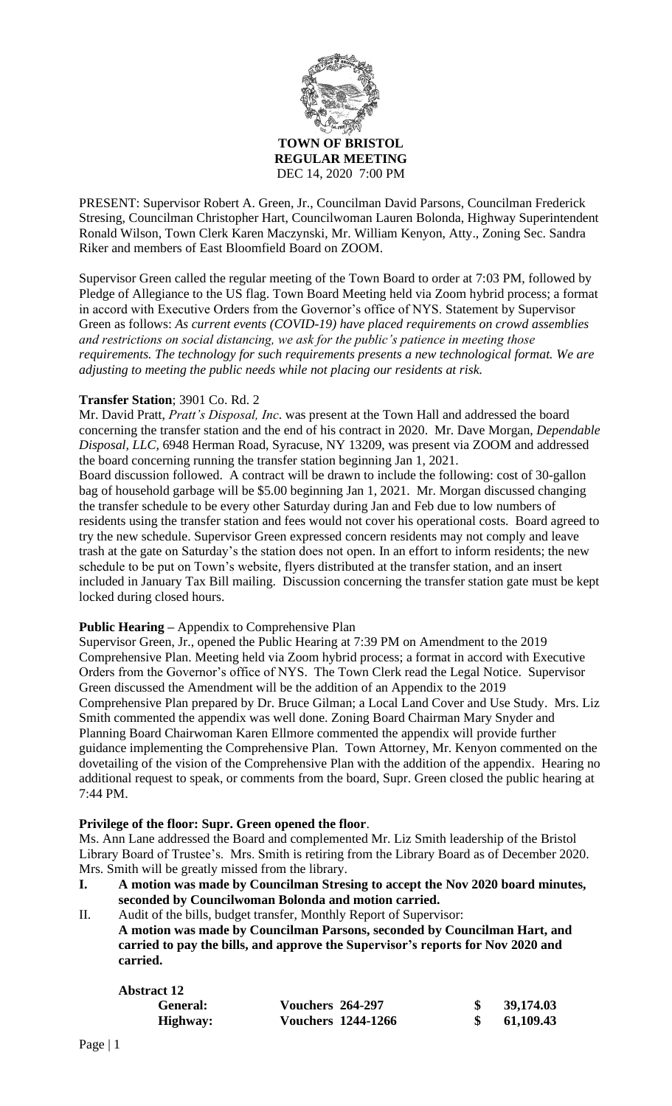

PRESENT: Supervisor Robert A. Green, Jr., Councilman David Parsons, Councilman Frederick Stresing, Councilman Christopher Hart, Councilwoman Lauren Bolonda, Highway Superintendent Ronald Wilson, Town Clerk Karen Maczynski, Mr. William Kenyon, Atty., Zoning Sec. Sandra Riker and members of East Bloomfield Board on ZOOM.

Supervisor Green called the regular meeting of the Town Board to order at 7:03 PM, followed by Pledge of Allegiance to the US flag. Town Board Meeting held via Zoom hybrid process; a format in accord with Executive Orders from the Governor's office of NYS. Statement by Supervisor Green as follows: *As current events (COVID-19) have placed requirements on crowd assemblies and restrictions on social distancing, we ask for the public's patience in meeting those requirements. The technology for such requirements presents a new technological format. We are adjusting to meeting the public needs while not placing our residents at risk.*

## **Transfer Station**; 3901 Co. Rd. 2

Mr. David Pratt, *Pratt's Disposal, Inc*. was present at the Town Hall and addressed the board concerning the transfer station and the end of his contract in 2020. Mr. Dave Morgan, *Dependable Disposal, LLC,* 6948 Herman Road, Syracuse, NY 13209, was present via ZOOM and addressed the board concerning running the transfer station beginning Jan 1, 2021.

Board discussion followed. A contract will be drawn to include the following: cost of 30-gallon bag of household garbage will be \$5.00 beginning Jan 1, 2021. Mr. Morgan discussed changing the transfer schedule to be every other Saturday during Jan and Feb due to low numbers of residents using the transfer station and fees would not cover his operational costs. Board agreed to try the new schedule. Supervisor Green expressed concern residents may not comply and leave trash at the gate on Saturday's the station does not open. In an effort to inform residents; the new schedule to be put on Town's website, flyers distributed at the transfer station, and an insert included in January Tax Bill mailing. Discussion concerning the transfer station gate must be kept locked during closed hours.

## **Public Hearing –** Appendix to Comprehensive Plan

Supervisor Green, Jr., opened the Public Hearing at 7:39 PM on Amendment to the 2019 Comprehensive Plan. Meeting held via Zoom hybrid process; a format in accord with Executive Orders from the Governor's office of NYS. The Town Clerk read the Legal Notice. Supervisor Green discussed the Amendment will be the addition of an Appendix to the 2019 Comprehensive Plan prepared by Dr. Bruce Gilman; a Local Land Cover and Use Study. Mrs. Liz Smith commented the appendix was well done. Zoning Board Chairman Mary Snyder and Planning Board Chairwoman Karen Ellmore commented the appendix will provide further guidance implementing the Comprehensive Plan. Town Attorney, Mr. Kenyon commented on the dovetailing of the vision of the Comprehensive Plan with the addition of the appendix. Hearing no additional request to speak, or comments from the board, Supr. Green closed the public hearing at 7:44 PM.

## **Privilege of the floor: Supr. Green opened the floor**.

Ms. Ann Lane addressed the Board and complemented Mr. Liz Smith leadership of the Bristol Library Board of Trustee's. Mrs. Smith is retiring from the Library Board as of December 2020. Mrs. Smith will be greatly missed from the library.

- **I. A motion was made by Councilman Stresing to accept the Nov 2020 board minutes, seconded by Councilwoman Bolonda and motion carried.**
- II. Audit of the bills, budget transfer, Monthly Report of Supervisor: **A motion was made by Councilman Parsons, seconded by Councilman Hart, and carried to pay the bills, and approve the Supervisor's reports for Nov 2020 and carried.**

| <b>Abstract 12</b> |                           |           |
|--------------------|---------------------------|-----------|
| General:           | <b>Vouchers 264-297</b>   | 39,174.03 |
| Highway:           | <b>Vouchers 1244-1266</b> | 61,109.43 |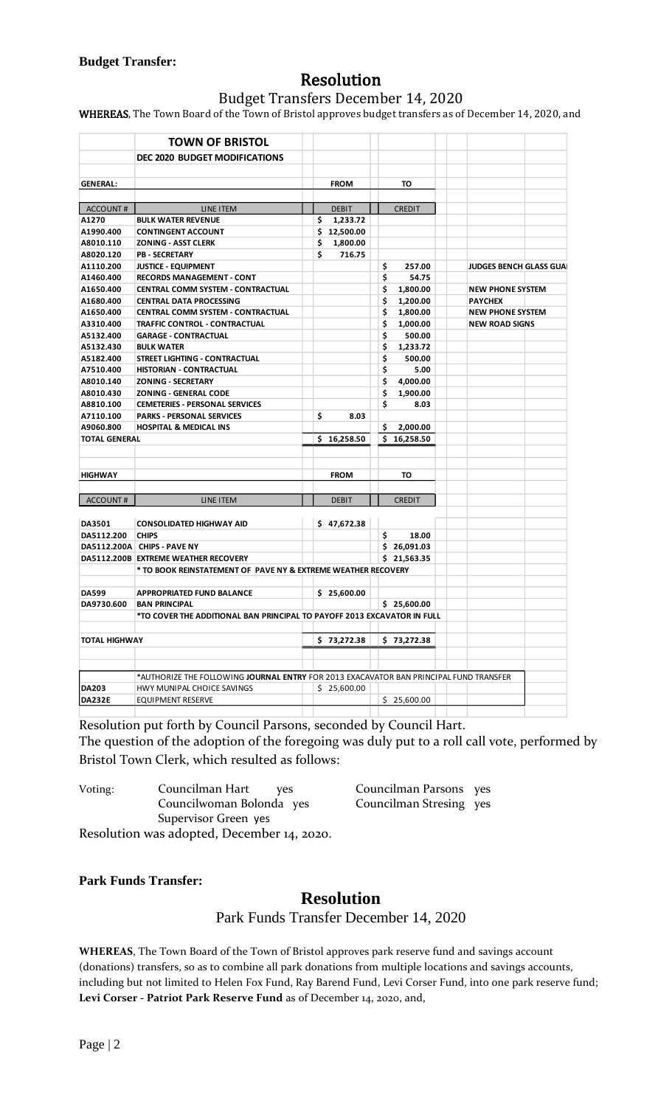# Resolution

Budget Transfers December 14, 2020

WHEREAS, The Town Board of the Town of Bristol approves budget transfers as of December 14, 2020, and

|                      | <b>TOWN OF BRISTOL</b>                                                                          |                |                |                                |
|----------------------|-------------------------------------------------------------------------------------------------|----------------|----------------|--------------------------------|
|                      | <b>DEC 2020 BUDGET MODIFICATIONS</b>                                                            |                |                |                                |
|                      |                                                                                                 |                |                |                                |
| <b>GENERAL:</b>      |                                                                                                 | <b>FROM</b>    | то             |                                |
|                      |                                                                                                 |                |                |                                |
| ACCOUNT#             | LINE ITEM                                                                                       | <b>DEBIT</b>   | <b>CREDIT</b>  |                                |
| A1270                | <b>BULK WATER REVENUE</b>                                                                       | \$<br>1,233.72 |                |                                |
| A1990.400            | <b>CONTINGENT ACCOUNT</b>                                                                       | \$12,500.00    |                |                                |
| A8010.110            | <b>ZONING - ASST CLERK</b>                                                                      | \$<br>1,800.00 |                |                                |
| A8020.120            | <b>PB - SECRETARY</b>                                                                           | \$<br>716.75   |                |                                |
| A1110.200            | <b>JUSTICE - EQUIPMENT</b>                                                                      |                | \$.<br>257.00  | <b>JUDGES BENCH GLASS GUAI</b> |
| A1460.400            | <b>RECORDS MANAGEMENT - CONT</b>                                                                |                | \$<br>54.75    |                                |
| A1650.400            | <b>CENTRAL COMM SYSTEM - CONTRACTUAL</b>                                                        |                | \$<br>1,800.00 | <b>NEW PHONE SYSTEM</b>        |
| A1680.400            | <b>CENTRAL DATA PROCESSING</b>                                                                  |                | \$<br>1,200.00 | <b>PAYCHEX</b>                 |
| A1650.400            | <b>CENTRAL COMM SYSTEM - CONTRACTUAL</b>                                                        |                | \$<br>1,800.00 | <b>NEW PHONE SYSTEM</b>        |
| A3310.400            | TRAFFIC CONTROL - CONTRACTUAL                                                                   |                | \$<br>1,000.00 | <b>NEW ROAD SIGNS</b>          |
| A5132.400            | <b>GARAGE - CONTRACTUAL</b>                                                                     |                | \$<br>500.00   |                                |
| A5132.430            | <b>BULK WATER</b>                                                                               |                | \$<br>1,233.72 |                                |
| A5182.400            | STREET LIGHTING - CONTRACTUAL                                                                   |                | \$<br>500.00   |                                |
| A7510.400            | HISTORIAN - CONTRACTUAL                                                                         |                | \$<br>5.00     |                                |
| A8010.140            | <b>ZONING - SECRETARY</b>                                                                       |                | \$<br>4,000.00 |                                |
| A8010.430            | <b>ZONING - GENERAL CODE</b>                                                                    |                | \$<br>1,900.00 |                                |
| A8810.100            | <b>CEMETERIES - PERSONAL SERVICES</b>                                                           |                | \$<br>8.03     |                                |
| A7110.100            | <b>PARKS - PERSONAL SERVICES</b>                                                                | \$<br>8.03     |                |                                |
| A9060.800            | <b>HOSPITAL &amp; MEDICAL INS</b>                                                               |                | S<br>2,000.00  |                                |
| <b>TOTAL GENERAL</b> |                                                                                                 | \$16,258.50    | \$16,258.50    |                                |
|                      |                                                                                                 |                |                |                                |
|                      |                                                                                                 |                |                |                                |
| <b>HIGHWAY</b>       |                                                                                                 | <b>FROM</b>    | TO             |                                |
|                      |                                                                                                 |                |                |                                |
| ACCOUNT#             | LINE ITEM                                                                                       | <b>DEBIT</b>   | <b>CREDIT</b>  |                                |
|                      |                                                                                                 |                |                |                                |
| DA3501               | <b>CONSOLIDATED HIGHWAY AID</b>                                                                 | \$47,672.38    |                |                                |
| DA5112.200           | <b>CHIPS</b>                                                                                    |                | \$<br>18.00    |                                |
|                      | DA5112.200A CHIPS - PAVE NY                                                                     |                | \$26,091.03    |                                |
|                      | DA5112.200B EXTREME WEATHER RECOVERY                                                            |                | \$21,563.35    |                                |
|                      | * TO BOOK REINSTATEMENT OF PAVE NY & EXTREME WEATHER RECOVERY                                   |                |                |                                |
|                      |                                                                                                 |                |                |                                |
| <b>DA599</b>         | <b>APPROPRIATED FUND BALANCE</b>                                                                | \$25,600.00    |                |                                |
| DA9730.600           | <b>BAN PRINCIPAL</b><br>*TO COVER THE ADDITIONAL BAN PRINCIPAL TO PAYOFF 2013 EXCAVATOR IN FULL |                | \$25,600.00    |                                |
|                      |                                                                                                 |                |                |                                |
|                      |                                                                                                 |                |                |                                |
| TOTAL HIGHWAY        |                                                                                                 |                |                |                                |
|                      |                                                                                                 | \$73,272.38    | \$73,272.38    |                                |
|                      |                                                                                                 |                |                |                                |
|                      | *AUTHORIZE THE FOLLOWING JOURNAL ENTRY FOR 2013 EXACAVATOR BAN PRINCIPAL FUND TRANSFER          |                |                |                                |
| <b>DA203</b>         | HWY MUNIPAL CHOICE SAVINGS                                                                      | \$25,600.00    |                |                                |

Resolution put forth by Council Parsons, seconded by Council Hart. The question of the adoption of the foregoing was duly put to a roll call vote, performed by Bristol Town Clerk, which resulted as follows:

| Voting: | Councilman Hart<br><b>ves</b>              | Councilman Parsons yes  |  |
|---------|--------------------------------------------|-------------------------|--|
|         | Councilwoman Bolonda yes                   | Councilman Stresing yes |  |
|         | Supervisor Green yes                       |                         |  |
|         | Resolution was adopted, December 14, 2020. |                         |  |

**Park Funds Transfer:**

## **Resolution**

Park Funds Transfer December 14, 2020

**WHEREAS**, The Town Board of the Town of Bristol approves park reserve fund and savings account (donations) transfers, so as to combine all park donations from multiple locations and savings accounts, including but not limited to Helen Fox Fund, Ray Barend Fund, Levi Corser Fund, into one park reserve fund; **Levi Corser - Patriot Park Reserve Fund** as of December 14, 2020, and,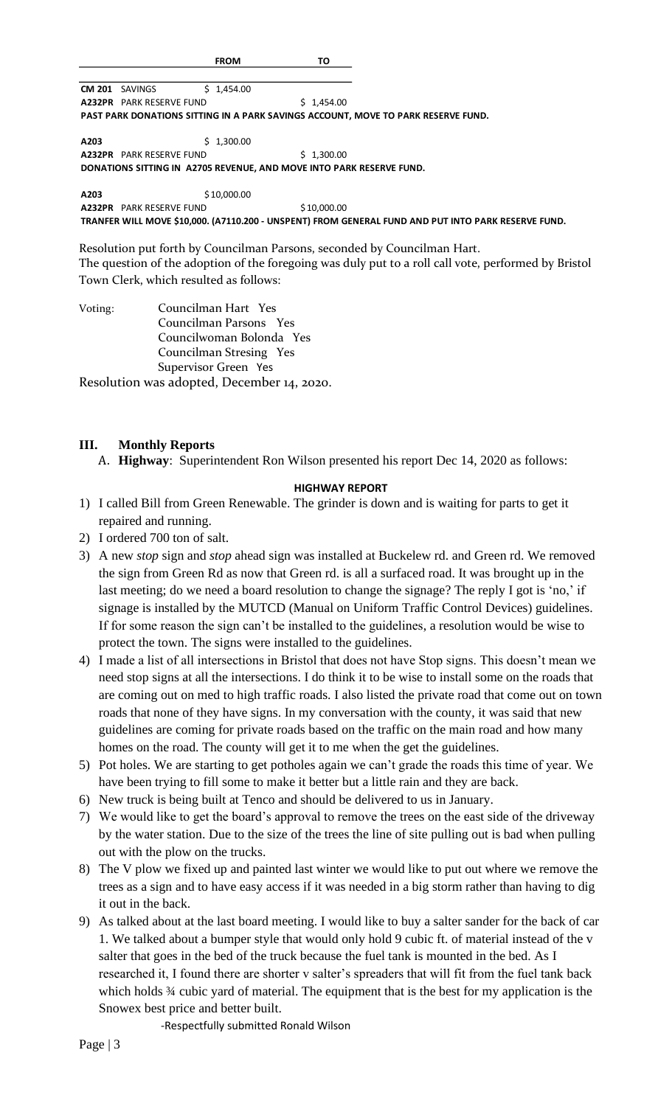FROM TONITY TONEAS TRANSFACT SURFACT SURFACT SURFACT AND STAND STAND THAN DONATONS SITTING IN A PARK SASKOPUT SASALO STAND AND THAN DONATONS SITTING IN A PARK SAVING SACCOUNT, SHOW THAN DANNIFOS SITTING IN A PARK SAVING SA **CM 201** SAVINGS \$ 1,454.00 **A232PR** PARK RESERVE FUND \$ 1,454.00 **PAST PARK DONATIONS SITTING IN A PARK SAVINGS ACCOUNT, MOVE TO PARK RESERVE FUND. A203** \$ 1,300.00 **A232PR** PARK RESERVE FUND \$ 1,300.00

**DONATIONS SITTING IN A2705 REVENUE, AND MOVE INTO PARK RESERVE FUND.**

A203 \$10,000.00 **A232PR** PARK RESERVE FUND \$10,000.00 **TRANFER WILL MOVE \$10,000. (A7110.200 - UNSPENT) FROM GENERAL FUND AND PUT INTO PARK RESERVE FUND.**

Resolution put forth by Councilman Parsons, seconded by Councilman Hart. The question of the adoption of the foregoing was duly put to a roll call vote, performed by Bristol Town Clerk, which resulted as follows:

| Voting: | Councilman Hart Yes                        |
|---------|--------------------------------------------|
|         | Councilman Parsons Yes                     |
|         | Councilwoman Bolonda Yes                   |
|         | Councilman Stresing Yes                    |
|         | Supervisor Green Yes                       |
|         | Resolution was adopted, December 14, 2020. |

**III. Monthly Reports**

A. **Highway**: Superintendent Ron Wilson presented his report Dec 14, 2020 as follows:

## **HIGHWAY REPORT**

- 1) I called Bill from Green Renewable. The grinder is down and is waiting for parts to get it repaired and running.
- 2) I ordered 700 ton of salt.
- 3) A new *stop* sign and *stop* ahead sign was installed at Buckelew rd. and Green rd. We removed the sign from Green Rd as now that Green rd. is all a surfaced road. It was brought up in the last meeting; do we need a board resolution to change the signage? The reply I got is 'no,' if signage is installed by the MUTCD (Manual on Uniform Traffic Control Devices) guidelines. If for some reason the sign can't be installed to the guidelines, a resolution would be wise to protect the town. The signs were installed to the guidelines.
- 4) I made a list of all intersections in Bristol that does not have Stop signs. This doesn't mean we need stop signs at all the intersections. I do think it to be wise to install some on the roads that are coming out on med to high traffic roads. I also listed the private road that come out on town roads that none of they have signs. In my conversation with the county, it was said that new guidelines are coming for private roads based on the traffic on the main road and how many homes on the road. The county will get it to me when the get the guidelines.
- 5) Pot holes. We are starting to get potholes again we can't grade the roads this time of year. We have been trying to fill some to make it better but a little rain and they are back.
- 6) New truck is being built at Tenco and should be delivered to us in January.
- 7) We would like to get the board's approval to remove the trees on the east side of the driveway by the water station. Due to the size of the trees the line of site pulling out is bad when pulling out with the plow on the trucks.
- 8) The V plow we fixed up and painted last winter we would like to put out where we remove the trees as a sign and to have easy access if it was needed in a big storm rather than having to dig it out in the back.
- 9) As talked about at the last board meeting. I would like to buy a salter sander for the back of car 1. We talked about a bumper style that would only hold 9 cubic ft. of material instead of the v salter that goes in the bed of the truck because the fuel tank is mounted in the bed. As I researched it, I found there are shorter v salter's spreaders that will fit from the fuel tank back which holds  $\frac{3}{4}$  cubic yard of material. The equipment that is the best for my application is the Snowex best price and better built.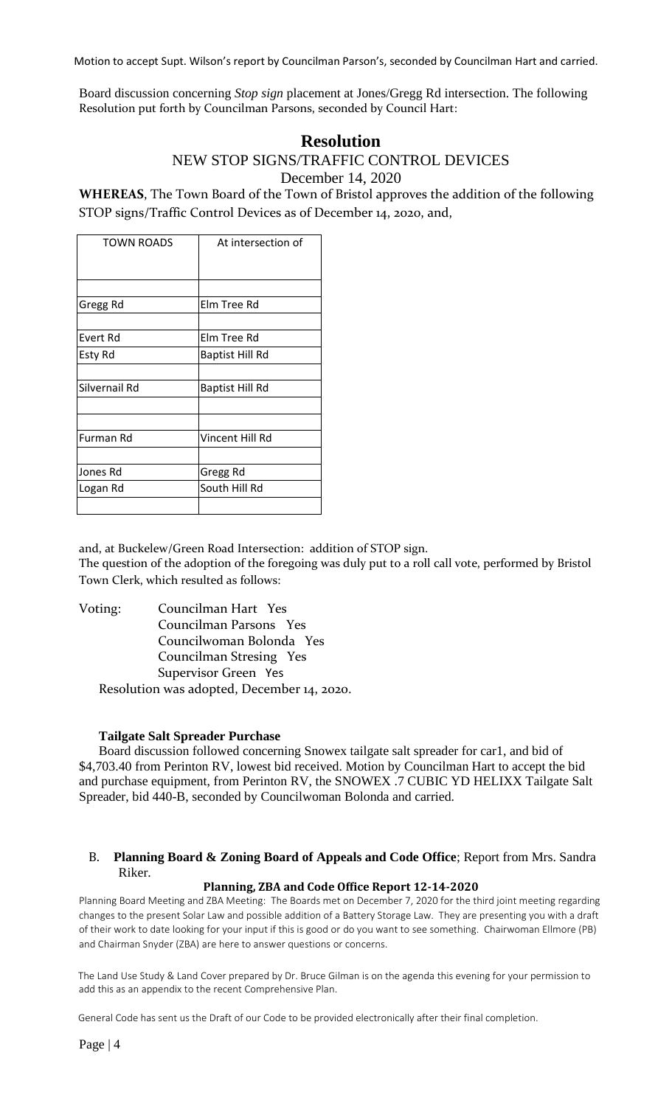Motion to accept Supt. Wilson's report by Councilman Parson's, seconded by Councilman Hart and carried.

Board discussion concerning *Stop sign* placement at Jones/Gregg Rd intersection. The following Resolution put forth by Councilman Parsons, seconded by Council Hart:

## **Resolution**

NEW STOP SIGNS/TRAFFIC CONTROL DEVICES

December 14, 2020

**WHEREAS**, The Town Board of the Town of Bristol approves the addition of the following STOP signs/Traffic Control Devices as of December 14, 2020, and,

| <b>TOWN ROADS</b> | At intersection of     |
|-------------------|------------------------|
|                   |                        |
| Gregg Rd          | Elm Tree Rd            |
|                   |                        |
| Evert Rd          | Elm Tree Rd            |
| Esty Rd           | Baptist Hill Rd        |
|                   |                        |
| Silvernail Rd     | <b>Baptist Hill Rd</b> |
|                   |                        |
|                   |                        |
| Furman Rd         | Vincent Hill Rd        |
|                   |                        |
| Jones Rd          | Gregg Rd               |
| Logan Rd          | South Hill Rd          |
|                   |                        |
|                   |                        |

and, at Buckelew/Green Road Intersection: addition of STOP sign. The question of the adoption of the foregoing was duly put to a roll call vote, performed by Bristol Town Clerk, which resulted as follows:

Voting: Councilman Hart Yes Councilman Parsons Yes Councilwoman Bolonda Yes Councilman Stresing Yes Supervisor Green Yes Resolution was adopted, December 14, 2020.

## **Tailgate Salt Spreader Purchase**

Board discussion followed concerning Snowex tailgate salt spreader for car1, and bid of \$4,703.40 from Perinton RV, lowest bid received. Motion by Councilman Hart to accept the bid and purchase equipment, from Perinton RV, the SNOWEX .7 CUBIC YD HELIXX Tailgate Salt Spreader, bid 440-B, seconded by Councilwoman Bolonda and carried.

## B. **Planning Board & Zoning Board of Appeals and Code Office**; Report from Mrs. Sandra Riker.

## **Planning, ZBA and Code Office Report 12-14-2020**

Planning Board Meeting and ZBA Meeting: The Boards met on December 7, 2020 for the third joint meeting regarding changes to the present Solar Law and possible addition of a Battery Storage Law. They are presenting you with a draft of their work to date looking for your input if this is good or do you want to see something. Chairwoman Ellmore (PB) and Chairman Snyder (ZBA) are here to answer questions or concerns.

The Land Use Study & Land Cover prepared by Dr. Bruce Gilman is on the agenda this evening for your permission to add this as an appendix to the recent Comprehensive Plan.

General Code has sent us the Draft of our Code to be provided electronically after their final completion.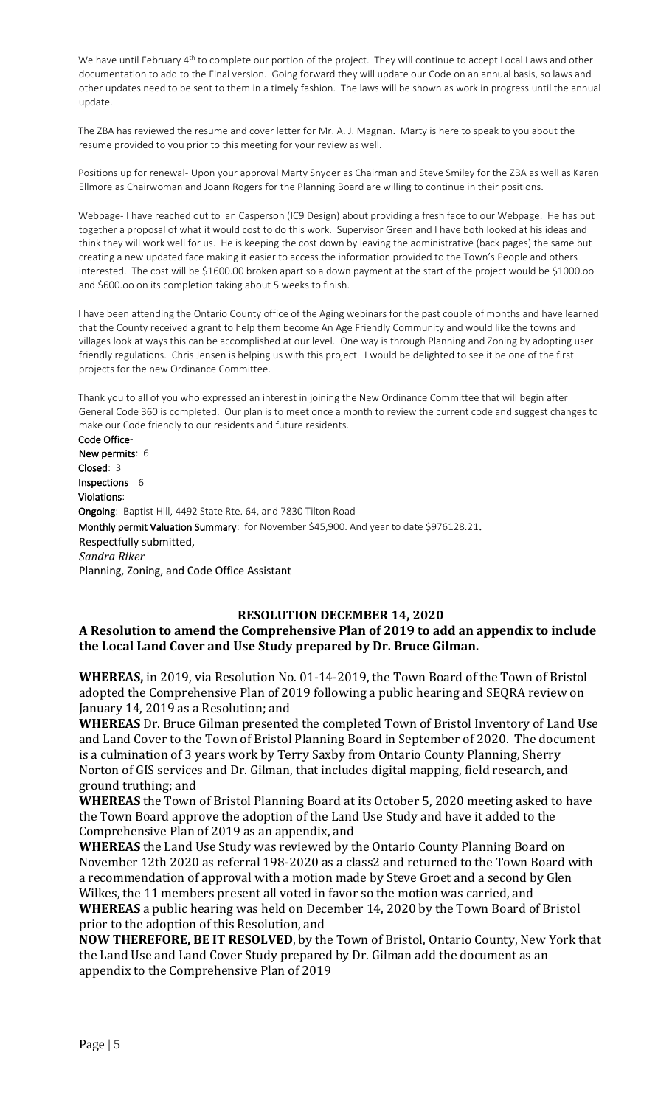We have until February 4<sup>th</sup> to complete our portion of the project. They will continue to accept Local Laws and other documentation to add to the Final version. Going forward they will update our Code on an annual basis, so laws and other updates need to be sent to them in a timely fashion. The laws will be shown as work in progress until the annual update.

The ZBA has reviewed the resume and cover letter for Mr. A. J. Magnan. Marty is here to speak to you about the resume provided to you prior to this meeting for your review as well.

Positions up for renewal- Upon your approval Marty Snyder as Chairman and Steve Smiley for the ZBA as well as Karen Ellmore as Chairwoman and Joann Rogers for the Planning Board are willing to continue in their positions.

Webpage- I have reached out to Ian Casperson (IC9 Design) about providing a fresh face to our Webpage. He has put together a proposal of what it would cost to do this work. Supervisor Green and I have both looked at his ideas and think they will work well for us. He is keeping the cost down by leaving the administrative (back pages) the same but creating a new updated face making it easier to access the information provided to the Town's People and others interested. The cost will be \$1600.00 broken apart so a down payment at the start of the project would be \$1000.oo and \$600.oo on its completion taking about 5 weeks to finish.

I have been attending the Ontario County office of the Aging webinars for the past couple of months and have learned that the County received a grant to help them become An Age Friendly Community and would like the towns and villages look at ways this can be accomplished at our level. One way is through Planning and Zoning by adopting user friendly regulations. Chris Jensen is helping us with this project. I would be delighted to see it be one of the first projects for the new Ordinance Committee.

Thank you to all of you who expressed an interest in joining the New Ordinance Committee that will begin after General Code 360 is completed. Our plan is to meet once a month to review the current code and suggest changes to make our Code friendly to our residents and future residents.

Code Office-New permits: 6 Closed: 3 Inspections 6 Violations: Ongoing: Baptist Hill, 4492 State Rte. 64, and 7830 Tilton Road Monthly permit Valuation Summary: for November \$45,900. And year to date \$976128.21. Respectfully submitted, *Sandra Riker* Planning, Zoning, and Code Office Assistant

## **RESOLUTION DECEMBER 14, 2020**

## **A Resolution to amend the Comprehensive Plan of 2019 to add an appendix to include the Local Land Cover and Use Study prepared by Dr. Bruce Gilman.**

**WHEREAS,** in 2019, via Resolution No. 01-14-2019, the Town Board of the Town of Bristol adopted the Comprehensive Plan of 2019 following a public hearing and SEQRA review on January 14, 2019 as a Resolution; and

**WHEREAS** Dr. Bruce Gilman presented the completed Town of Bristol Inventory of Land Use and Land Cover to the Town of Bristol Planning Board in September of 2020. The document is a culmination of 3 years work by Terry Saxby from Ontario County Planning, Sherry Norton of GIS services and Dr. Gilman, that includes digital mapping, field research, and ground truthing; and

**WHEREAS** the Town of Bristol Planning Board at its October 5, 2020 meeting asked to have the Town Board approve the adoption of the Land Use Study and have it added to the Comprehensive Plan of 2019 as an appendix, and

**WHEREAS** the Land Use Study was reviewed by the Ontario County Planning Board on November 12th 2020 as referral 198-2020 as a class2 and returned to the Town Board with a recommendation of approval with a motion made by Steve Groet and a second by Glen Wilkes, the 11 members present all voted in favor so the motion was carried, and

**WHEREAS** a public hearing was held on December 14, 2020 by the Town Board of Bristol prior to the adoption of this Resolution, and

**NOW THEREFORE, BE IT RESOLVED**, by the Town of Bristol, Ontario County, New York that the Land Use and Land Cover Study prepared by Dr. Gilman add the document as an appendix to the Comprehensive Plan of 2019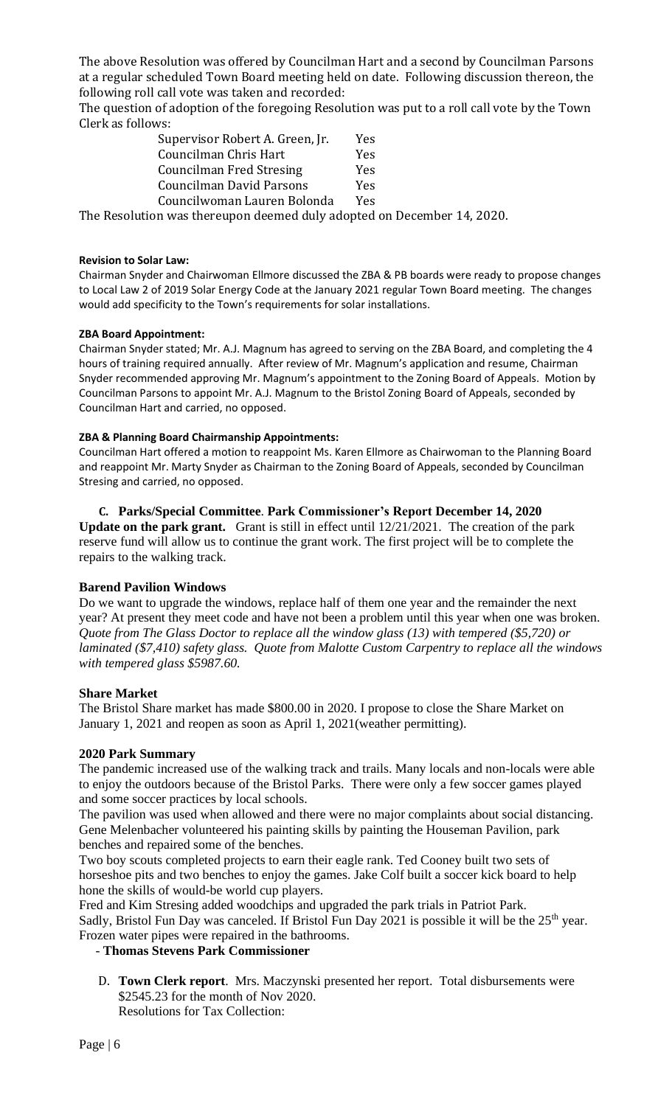The above Resolution was offered by Councilman Hart and a second by Councilman Parsons at a regular scheduled Town Board meeting held on date. Following discussion thereon, the following roll call vote was taken and recorded:

The question of adoption of the foregoing Resolution was put to a roll call vote by the Town Clerk as follows:

| Supervisor Robert A. Green, Jr. | Yes |
|---------------------------------|-----|
| Councilman Chris Hart           | Yes |
| <b>Councilman Fred Stresing</b> | Yes |
| <b>Councilman David Parsons</b> | Yes |
| Councilwoman Lauren Bolonda     | Yes |
|                                 |     |

The Resolution was thereupon deemed duly adopted on December 14, 2020.

### **Revision to Solar Law:**

Chairman Snyder and Chairwoman Ellmore discussed the ZBA & PB boards were ready to propose changes to Local Law 2 of 2019 Solar Energy Code at the January 2021 regular Town Board meeting. The changes would add specificity to the Town's requirements for solar installations.

## **ZBA Board Appointment:**

Chairman Snyder stated; Mr. A.J. Magnum has agreed to serving on the ZBA Board, and completing the 4 hours of training required annually. After review of Mr. Magnum's application and resume, Chairman Snyder recommended approving Mr. Magnum's appointment to the Zoning Board of Appeals. Motion by Councilman Parsons to appoint Mr. A.J. Magnum to the Bristol Zoning Board of Appeals, seconded by Councilman Hart and carried, no opposed.

#### **ZBA & Planning Board Chairmanship Appointments:**

Councilman Hart offered a motion to reappoint Ms. Karen Ellmore as Chairwoman to the Planning Board and reappoint Mr. Marty Snyder as Chairman to the Zoning Board of Appeals, seconded by Councilman Stresing and carried, no opposed.

#### **C. Parks/Special Committee**. **Park Commissioner's Report December 14, 2020**

**Update on the park grant.** Grant is still in effect until 12/21/2021. The creation of the park reserve fund will allow us to continue the grant work. The first project will be to complete the repairs to the walking track.

## **Barend Pavilion Windows**

Do we want to upgrade the windows, replace half of them one year and the remainder the next year? At present they meet code and have not been a problem until this year when one was broken. *Quote from The Glass Doctor to replace all the window glass (13) with tempered (\$5,720) or laminated (\$7,410) safety glass. Quote from Malotte Custom Carpentry to replace all the windows with tempered glass \$5987.60.*

## **Share Market**

The Bristol Share market has made \$800.00 in 2020. I propose to close the Share Market on January 1, 2021 and reopen as soon as April 1, 2021(weather permitting).

## **2020 Park Summary**

The pandemic increased use of the walking track and trails. Many locals and non-locals were able to enjoy the outdoors because of the Bristol Parks. There were only a few soccer games played and some soccer practices by local schools.

The pavilion was used when allowed and there were no major complaints about social distancing. Gene Melenbacher volunteered his painting skills by painting the Houseman Pavilion, park benches and repaired some of the benches.

Two boy scouts completed projects to earn their eagle rank. Ted Cooney built two sets of horseshoe pits and two benches to enjoy the games. Jake Colf built a soccer kick board to help hone the skills of would-be world cup players.

Fred and Kim Stresing added woodchips and upgraded the park trials in Patriot Park. Sadly, Bristol Fun Day was canceled. If Bristol Fun Day 2021 is possible it will be the  $25<sup>th</sup>$  year. Frozen water pipes were repaired in the bathrooms.

## - **Thomas Stevens Park Commissioner**

D. **Town Clerk report**. Mrs. Maczynski presented her report. Total disbursements were \$2545.23 for the month of Nov 2020. Resolutions for Tax Collection: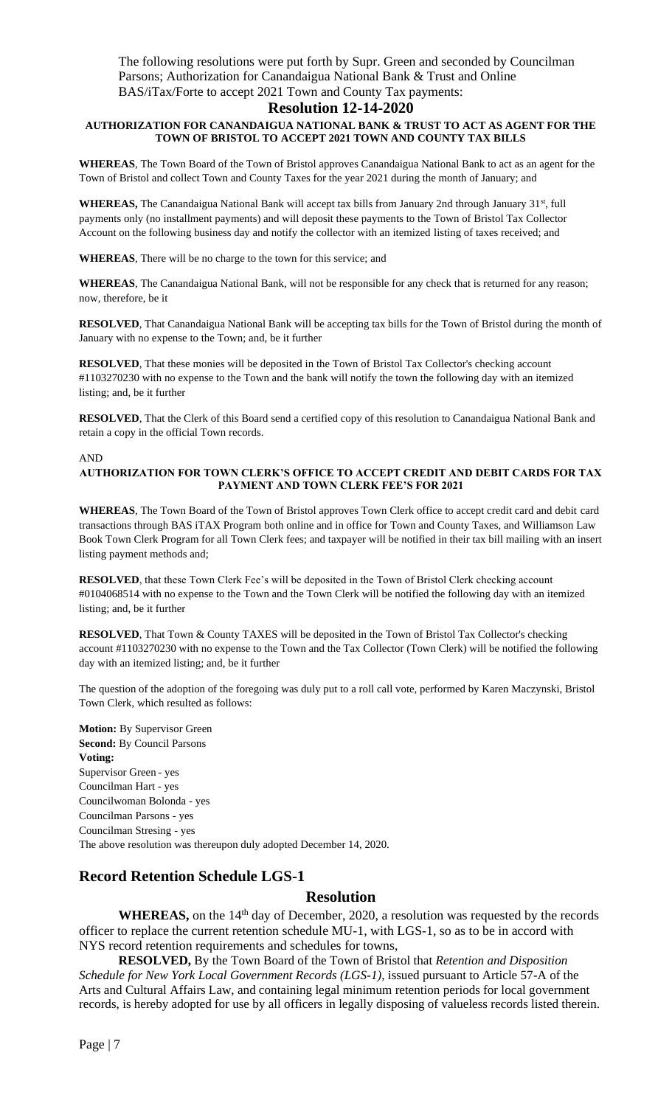The following resolutions were put forth by Supr. Green and seconded by Councilman Parsons; Authorization for Canandaigua National Bank & Trust and Online BAS/iTax/Forte to accept 2021 Town and County Tax payments:

#### **Resolution 12-14-2020**

#### **AUTHORIZATION FOR CANANDAIGUA NATIONAL BANK & TRUST TO ACT AS AGENT FOR THE TOWN OF BRISTOL TO ACCEPT 2021 TOWN AND COUNTY TAX BILLS**

**WHEREAS**, The Town Board of the Town of Bristol approves Canandaigua National Bank to act as an agent for the Town of Bristol and collect Town and County Taxes for the year 2021 during the month of January; and

WHEREAS, The Canandaigua National Bank will accept tax bills from January 2nd through January 31<sup>st</sup>, full payments only (no installment payments) and will deposit these payments to the Town of Bristol Tax Collector Account on the following business day and notify the collector with an itemized listing of taxes received; and

**WHEREAS**, There will be no charge to the town for this service; and

**WHEREAS**, The Canandaigua National Bank, will not be responsible for any check that is returned for any reason; now, therefore, be it

**RESOLVED**, That Canandaigua National Bank will be accepting tax bills for the Town of Bristol during the month of January with no expense to the Town; and, be it further

**RESOLVED**, That these monies will be deposited in the Town of Bristol Tax Collector's checking account #1103270230 with no expense to the Town and the bank will notify the town the following day with an itemized listing; and, be it further

**RESOLVED**, That the Clerk of this Board send a certified copy of this resolution to Canandaigua National Bank and retain a copy in the official Town records.

#### AND

#### **AUTHORIZATION FOR TOWN CLERK'S OFFICE TO ACCEPT CREDIT AND DEBIT CARDS FOR TAX PAYMENT AND TOWN CLERK FEE'S FOR 2021**

**WHEREAS**, The Town Board of the Town of Bristol approves Town Clerk office to accept credit card and debit card transactions through BAS iTAX Program both online and in office for Town and County Taxes, and Williamson Law Book Town Clerk Program for all Town Clerk fees; and taxpayer will be notified in their tax bill mailing with an insert listing payment methods and;

**RESOLVED**, that these Town Clerk Fee's will be deposited in the Town of Bristol Clerk checking account #0104068514 with no expense to the Town and the Town Clerk will be notified the following day with an itemized listing; and, be it further

**RESOLVED**, That Town & County TAXES will be deposited in the Town of Bristol Tax Collector's checking account #1103270230 with no expense to the Town and the Tax Collector (Town Clerk) will be notified the following day with an itemized listing; and, be it further

The question of the adoption of the foregoing was duly put to a roll call vote, performed by Karen Maczynski, Bristol Town Clerk, which resulted as follows:

**Motion:** By Supervisor Green **Second:** By Council Parsons **Voting:** Supervisor Green - yes Councilman Hart - yes Councilwoman Bolonda - yes Councilman Parsons - yes Councilman Stresing - yes The above resolution was thereupon duly adopted December 14, 2020.

## **Record Retention Schedule LGS-1**

## **Resolution**

WHEREAS, on the 14<sup>th</sup> day of December, 2020, a resolution was requested by the records officer to replace the current retention schedule MU-1, with LGS-1, so as to be in accord with NYS record retention requirements and schedules for towns,

**RESOLVED,** By the Town Board of the Town of Bristol that *Retention and Disposition Schedule for New York Local Government Records (LGS-1)*, issued pursuant to Article 57-A of the Arts and Cultural Affairs Law, and containing legal minimum retention periods for local government records, is hereby adopted for use by all officers in legally disposing of valueless records listed therein.